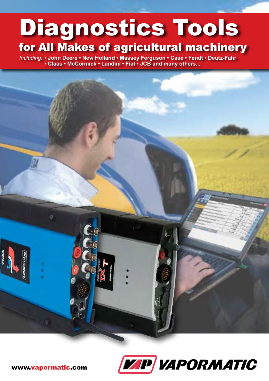# Diagnostics Tools for All Makes of agricultural machinery

*Including:* **• John Deere • New Holland • Massey Ferguson • Case • Fendt • Deutz-Fahr • Claas • McCormick • Landini • Fiat • JCB and many others...**



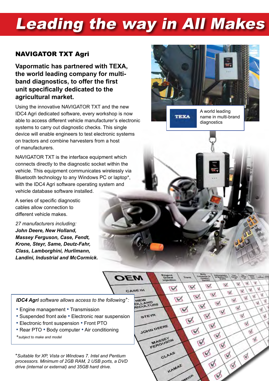# **Leading the way in All Makes**

## NAVIGATOR TXT Agri

**Vapormatic has partnered with TEXA, the world leading company for multiband diagnostics, to offer the first unit specifically dedicated to the agricultural market.**

Using the innovative NAVIGATOR TXT and the new IDC4 Agri dedicated software, every workshop is now able to access different vehicle manufacturer's electronic systems to carry out diagnostic checks. This single device will enable engineers to test electronic systems on tractors and combine harvesters from a host of manufacturers.

NAVIGATOR TXT is the interface equipment which connects directly to the diagnostic socket within the vehicle. This equipment communicates wirelessly via Bluetooth technology to any Windows PC or laptop\*, with the IDC4 Agri software operating system and vehicle database software installed.

A series of specific diagnostic cables allow connection to different vehicle makes.

*27 manufacturers including: John Deere, New Holland, Massey Ferguson, Case, Fendt, Krone, Steyr, Same, Deutz-Fahr, Class, Lamborghini, Hurlimann, Landini, Industrial and McCormick.*

*IDC4 Agri software allows access to the following+:* 

- Engine management Transmission
- Suspended front axle Electronic rear suspension
- Electronic front suspension Front PTO
- Rear PTO Body computer Air conditioning

*+subject to make and model*

\**Suitable for XP, Vista or Windows 7. Intel and Pentium processors. Minimum of 2GB RAM, 2 USB ports, a DVD drive (internal or external) and 35GB hard drive.*



A world leading name in multi-brand

diagnostics

**TEXA**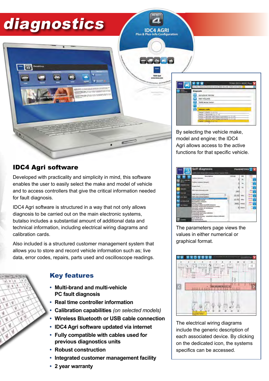## diagnostics

**IDC4 AGRI** 





By selecting the vehicle make, model and engine; the IDC4 Agri allows access to the active functions for that specific vehicle.

## IDC4 Agri software

Developed with practicality and simplicity in mind, this software enables the user to easily select the make and model of vehicle and to access controllers that give the critical information needed for fault diagnosis.

IDC4 Agri software is structured in a way that not only allows diagnosis to be carried out on the main electronic systems, butalso includes a substantial amount of additional data and technical information, including electrical wiring diagrams and calibration cards.

Also included is a structured customer management system that allows you to store and record vehicle information such as; live data, error codes, repairs, parts used and oscilloscope readings.



## Key features

- **• Multi-brand and multi-vehicle PC fault diagnosis**
- **• Real time controller information**
- **• Calibration capabilities** *(on selected models)*
- **• Wireless Bluetooth or USB cable connection**
- **• IDC4 Agri software updated via internet**
- **• Fully compatible with cables used for previous diagnostics units**
- **• Robust construction**
- **• Integrated customer management facility**
- **• 2 year warranty**



The parameters page views the values in either numerical or graphical format.



The electrical wiring diagrams include the generic description of each associated device. By clicking on the dedicated icon, the systems specifics can be accessed.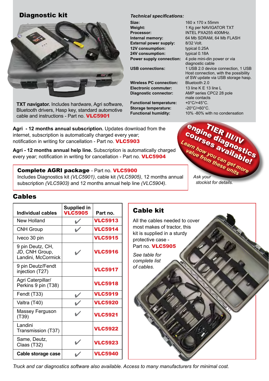## Diagnostic kit



**TXT navigator.** Includes hardware, Agri software, Bluetooth drivers, Hasp key, standard automotive cable and instructions - Part no. VLC5901

**Agri - 12 months annual subscription.** Updates download from the internet, subscription is automatically charged every year; notification in writing for cancellation - Part no. **VLC5903** 

**Agri - 12 months annual help line.** Subscription is automatically charged every year; notification in writing for cancellation - Part no. VLC5904

### Complete AGRI package - Part no. VLC5900

Includes Diagnostics kit *(VLC5901)*, cable kit *(VLC5905)*, 12 months annual subscription *(VLC5903)* and 12 months annual help line *(VLC5904)*.

#### **Size:** 160 x 170 x 55mm **Weight:** 1 Kg per NAVIGATOR TXT **Processor:** INTEL PXA255 400MHz. **Internal memory:** 64 Mb SDRAM, 64 Mb FLASH **External power supply:** 8/32 Volt. **12V consumption:** typical 0.25A **24V consumption:** typical 0.18A **Power supply connection:** 4 pole mini-din power or via diagnostic cable **USB connections:** 1 USB 2.0 device connection, 1 USB Host connection, with the possibility of SW update via USB storage hasp. **Wireless PC connection:** Bluetooth 2.0

**Electronic commuter:** 13 line K E 13 line L **Diagnostic connector:** AMP series CPC2 28 pole male contacts **Functional temperature:** +0°C/+45°C. **Storage temperature:** -20°C/+60°C. **Functional humidity:** 10% -80% with no condensation



 *stockist for details.* 

### Cables

| <b>Individual cables</b>                                 | Supplied in<br><b>VLC5905</b> | Part no.       |
|----------------------------------------------------------|-------------------------------|----------------|
| New Holland                                              |                               | <b>VLC5913</b> |
| <b>CNH Group</b>                                         |                               | <b>VLC5914</b> |
| Iveco 30 pin                                             |                               | <b>VLC5915</b> |
| 9 pin Deutz, CH,<br>JD, CNH Group,<br>Landini, McCormick |                               | <b>VLC5916</b> |
| 9 pin Deutz/Fendt<br>injection (T27)                     |                               | <b>VLC5917</b> |
| Agri Caterpillar/<br>Perkins 9 pin (T38)                 |                               | <b>VLC5918</b> |
| Fendt (T33)                                              |                               | <b>VLC5919</b> |
| Valtra (T40)                                             |                               | <b>VLC5920</b> |
| Massey Ferguson<br>(T39)                                 |                               | <b>VLC5921</b> |
| Landini<br>Transmission (T37)                            |                               | <b>VLC5922</b> |
| Same, Deutz,<br>Claas (T32)                              |                               | <b>VLC5923</b> |
| Cable storage case                                       |                               | <b>VLC5940</b> |

## Cable kit

*Technical specifications:*

All the cables needed to cover most makes of tractor, this kit is supplied in a sturdy protective case -

Part no. VLC5905

*See table for complete list of cables.* 



*Truck and car diagnostics software also available. Access to many manufacturers for minimal cost.*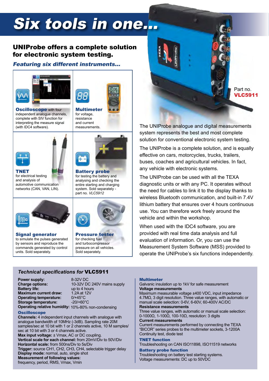## Six tools in one...

### UNIProbe offers a complete solution for electronic system testing.

#### Featuring six different instruments…





for voltage, resistance and current measurements.

**Oscilloscope with four** independent analogue channels, complete with SIV function for interpreting the measure signal (with IDC4 software).





Battery probe for testing the battery and analysing and checking the entire starting and charging system. Sold separately part no. *VLC5912*

TNET for electrical testing and analysis of automotive communication networks (CAN, VAN, LIN).



Signal generator to simulate the pulses generated by sensors and reproduce the commands generated by control units. Sold separately.



Pressure tester for checking fuel and turbocompressor pressure on all vehicles. Sold separately.

#### *Technical specifications for* VLC5911

**Power supply:** 8-32V DC<br> **Charge options:** 10-32V D **Battery life:** up to 4 hours<br>**Maximum current draw:** 1.2A at 12V **Maximum current draw:** 1.2A at 1<br>**Operating temperature:** 0/+45°C **Operating temperature:** 0/+45°C<br>**Storage temperature:** -20/+60°C **Storage temperature:** 

10-32V DC 240V mains supply<br>up to 4 hours **Operating relative humidity:** 10%-80% non-condensing

#### **Oscilloscope**

**Channels:** 4 independent input channels with analogue with analogue bandwidth of 10MHz (-3dB). Sampling rate 20M samples/sec at 10 bit with 1 or 2 channels active, 10 M samples/ sec at 10 bit with 3 or 4 channels active. **Max input voltage:**  $\pm$  **Vmax, AC or DC coupling. Vertical scale for each channel:** from 20mV/Div to 50V/Div **Horizontal scale:** from 500ns/Div to 5s/Div **Trigger:** source CH1, CH2, CH3, CH4, selectable trigger delay **Display mode:** normal, auto, single shot

**Measurement of following values:** 

frequency, period, RMS, Vmax, Vmin

## Part no. VLC5911

The UNIProbe analogue and digital measurements system represents the best and most complete solution for conventional electronic system testing.

The UNIProbe is a complete solution, and is equally effective on cars, motorcycles, trucks, trailers, buses, coaches and agricultural vehicles. In fact, any vehicle with electronic systems.

The UNIProbe can be used with all the TEXA diagnostic units or with any PC. It operates without the need for cables to link it to the display thanks to wireless Bluetooth communication, and built-in 7.4V lithium battery that ensures over 4 hours continuous use. You can therefore work freely around the vehicle and within the workshop.

When used with the IDC4 software, you are provided with real time data analysis and full evaluation of information. Or, you can use the Measurement System Software (MSS) provided to operate the UNIProbe's six functions independently.

#### Multimeter

#### Galvanic insulation up to 1kV for safe measurement **Voltage measurements**

Maximum measurable voltage ±400 VDC, input impedance 4.7MΩ, 3 digit resolution. Three value ranges, with automatic or manual scale selection: 0-6V, 6-60V, 60-400V AC/DC **Resistance measurements** 

Three value ranges, with automatic or manual scale selection: 0-1000Ω, 1-100Ω, 100-10Ω, resolution: 3 digits

#### **Current measurements**

Current measurements performed by connecting the TEXA "BICOR" series probes to the multimeter sockets, 3-1200A Continuity test, diode test

#### TNET function

Troubleshooting on CAN ISO11898, ISO11519 networks

#### Battery probe function

Troubleshooting on battery test starting systems. Voltage measurements: DC up to 50VDC